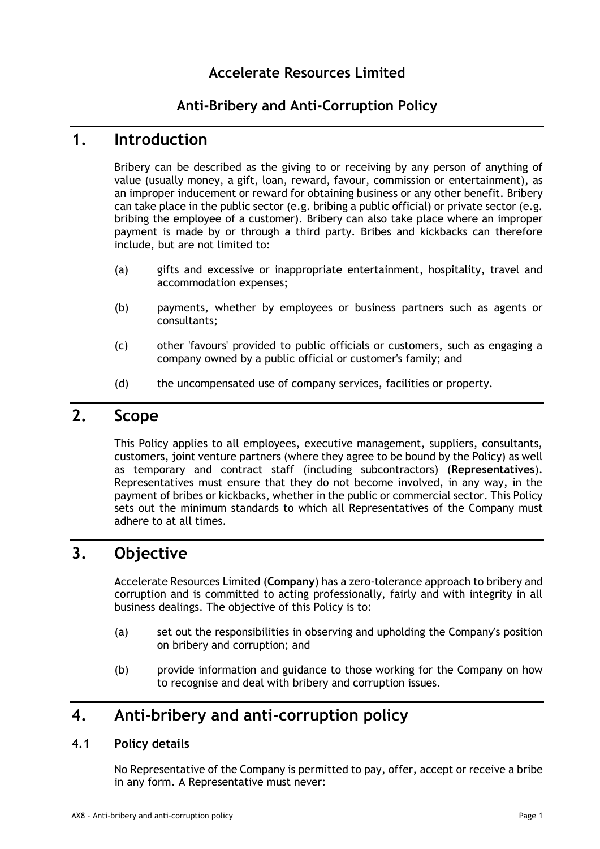### **Anti-Bribery and Anti-Corruption Policy**

### **1. Introduction**

Bribery can be described as the giving to or receiving by any person of anything of value (usually money, a gift, loan, reward, favour, commission or entertainment), as an improper inducement or reward for obtaining business or any other benefit. Bribery can take place in the public sector (e.g. bribing a public official) or private sector (e.g. bribing the employee of a customer). Bribery can also take place where an improper payment is made by or through a third party. Bribes and kickbacks can therefore include, but are not limited to:

- (a) gifts and excessive or inappropriate entertainment, hospitality, travel and accommodation expenses;
- (b) payments, whether by employees or business partners such as agents or consultants;
- (c) other 'favours' provided to public officials or customers, such as engaging a company owned by a public official or customer's family; and
- (d) the uncompensated use of company services, facilities or property.

## **2. Scope**

This Policy applies to all employees, executive management, suppliers, consultants, customers, joint venture partners (where they agree to be bound by the Policy) as well as temporary and contract staff (including subcontractors) (**Representatives**). Representatives must ensure that they do not become involved, in any way, in the payment of bribes or kickbacks, whether in the public or commercial sector. This Policy sets out the minimum standards to which all Representatives of the Company must adhere to at all times.

## **3. Objective**

Accelerate Resources Limited (**Company**) has a zero-tolerance approach to bribery and corruption and is committed to acting professionally, fairly and with integrity in all business dealings. The objective of this Policy is to:

- (a) set out the responsibilities in observing and upholding the Company's position on bribery and corruption; and
- (b) provide information and guidance to those working for the Company on how to recognise and deal with bribery and corruption issues.

## **4. Anti-bribery and anti-corruption policy**

### **4.1 Policy details**

No Representative of the Company is permitted to pay, offer, accept or receive a bribe in any form. A Representative must never: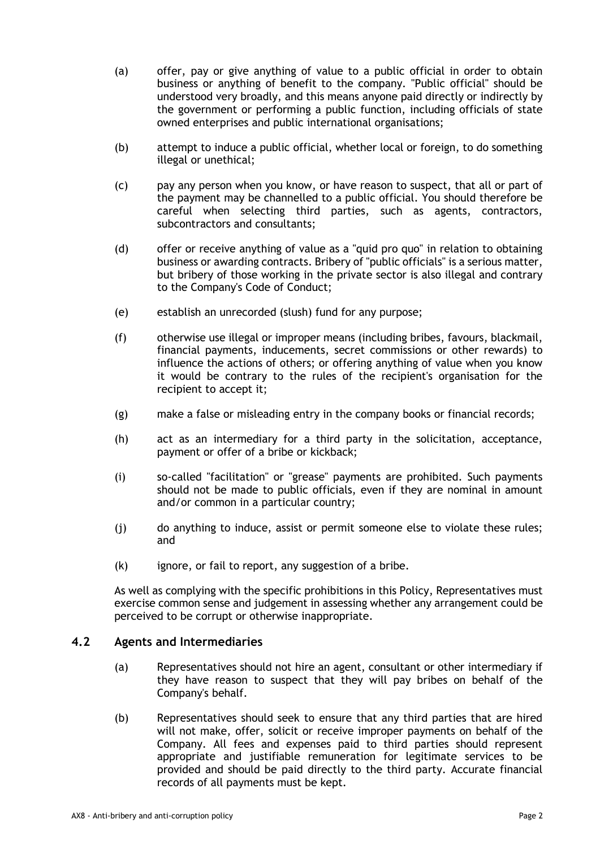- (a) offer, pay or give anything of value to a public official in order to obtain business or anything of benefit to the company. "Public official" should be understood very broadly, and this means anyone paid directly or indirectly by the government or performing a public function, including officials of state owned enterprises and public international organisations;
- (b) attempt to induce a public official, whether local or foreign, to do something illegal or unethical;
- (c) pay any person when you know, or have reason to suspect, that all or part of the payment may be channelled to a public official. You should therefore be careful when selecting third parties, such as agents, contractors, subcontractors and consultants;
- (d) offer or receive anything of value as a "quid pro quo" in relation to obtaining business or awarding contracts. Bribery of "public officials" is a serious matter, but bribery of those working in the private sector is also illegal and contrary to the Company's Code of Conduct;
- (e) establish an unrecorded (slush) fund for any purpose;
- (f) otherwise use illegal or improper means (including bribes, favours, blackmail, financial payments, inducements, secret commissions or other rewards) to influence the actions of others; or offering anything of value when you know it would be contrary to the rules of the recipient's organisation for the recipient to accept it;
- (g) make a false or misleading entry in the company books or financial records;
- (h) act as an intermediary for a third party in the solicitation, acceptance, payment or offer of a bribe or kickback;
- (i) so-called "facilitation" or "grease" payments are prohibited. Such payments should not be made to public officials, even if they are nominal in amount and/or common in a particular country;
- (j) do anything to induce, assist or permit someone else to violate these rules; and
- (k) ignore, or fail to report, any suggestion of a bribe.

As well as complying with the specific prohibitions in this Policy, Representatives must exercise common sense and judgement in assessing whether any arrangement could be perceived to be corrupt or otherwise inappropriate.

#### **4.2 Agents and Intermediaries**

- (a) Representatives should not hire an agent, consultant or other intermediary if they have reason to suspect that they will pay bribes on behalf of the Company's behalf.
- (b) Representatives should seek to ensure that any third parties that are hired will not make, offer, solicit or receive improper payments on behalf of the Company. All fees and expenses paid to third parties should represent appropriate and justifiable remuneration for legitimate services to be provided and should be paid directly to the third party. Accurate financial records of all payments must be kept.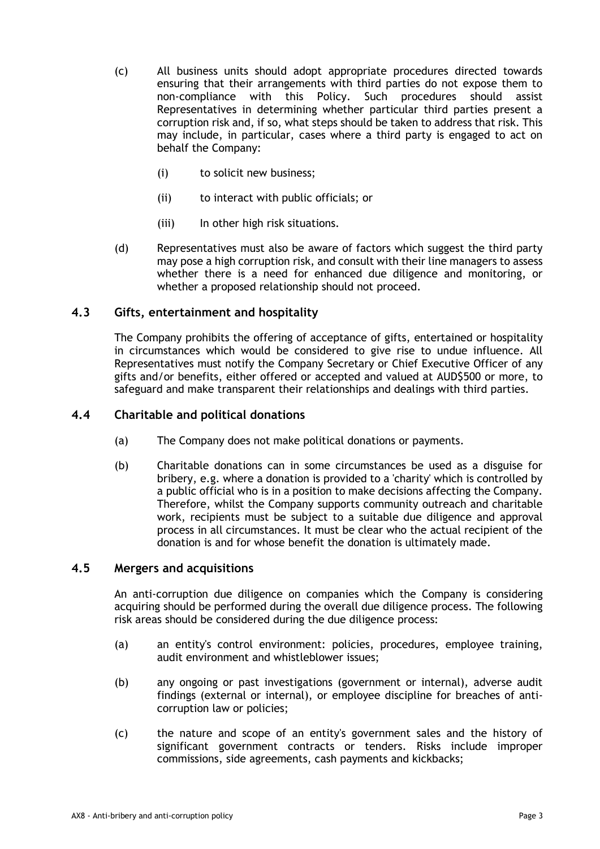- (c) All business units should adopt appropriate procedures directed towards ensuring that their arrangements with third parties do not expose them to non-compliance with this Policy. Such procedures should assist Representatives in determining whether particular third parties present a corruption risk and, if so, what steps should be taken to address that risk. This may include, in particular, cases where a third party is engaged to act on behalf the Company:
	- (i) to solicit new business;
	- (ii) to interact with public officials; or
	- (iii) In other high risk situations.
- (d) Representatives must also be aware of factors which suggest the third party may pose a high corruption risk, and consult with their line managers to assess whether there is a need for enhanced due diligence and monitoring, or whether a proposed relationship should not proceed.

#### **4.3 Gifts, entertainment and hospitality**

The Company prohibits the offering of acceptance of gifts, entertained or hospitality in circumstances which would be considered to give rise to undue influence. All Representatives must notify the Company Secretary or Chief Executive Officer of any gifts and/or benefits, either offered or accepted and valued at AUD\$500 or more, to safeguard and make transparent their relationships and dealings with third parties.

#### **4.4 Charitable and political donations**

- (a) The Company does not make political donations or payments.
- (b) Charitable donations can in some circumstances be used as a disguise for bribery, e.g. where a donation is provided to a 'charity' which is controlled by a public official who is in a position to make decisions affecting the Company. Therefore, whilst the Company supports community outreach and charitable work, recipients must be subject to a suitable due diligence and approval process in all circumstances. It must be clear who the actual recipient of the donation is and for whose benefit the donation is ultimately made.

#### **4.5 Mergers and acquisitions**

An anti-corruption due diligence on companies which the Company is considering acquiring should be performed during the overall due diligence process. The following risk areas should be considered during the due diligence process:

- (a) an entity's control environment: policies, procedures, employee training, audit environment and whistleblower issues;
- (b) any ongoing or past investigations (government or internal), adverse audit findings (external or internal), or employee discipline for breaches of anticorruption law or policies;
- (c) the nature and scope of an entity's government sales and the history of significant government contracts or tenders. Risks include improper commissions, side agreements, cash payments and kickbacks;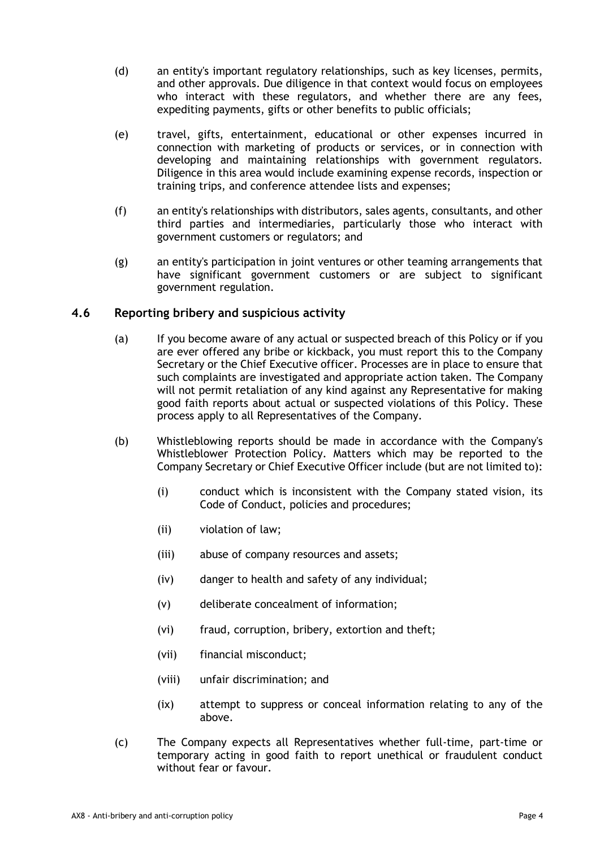- (d) an entity's important regulatory relationships, such as key licenses, permits, and other approvals. Due diligence in that context would focus on employees who interact with these regulators, and whether there are any fees, expediting payments, gifts or other benefits to public officials;
- (e) travel, gifts, entertainment, educational or other expenses incurred in connection with marketing of products or services, or in connection with developing and maintaining relationships with government regulators. Diligence in this area would include examining expense records, inspection or training trips, and conference attendee lists and expenses;
- (f) an entity's relationships with distributors, sales agents, consultants, and other third parties and intermediaries, particularly those who interact with government customers or regulators; and
- (g) an entity's participation in joint ventures or other teaming arrangements that have significant government customers or are subject to significant government regulation.

#### **4.6 Reporting bribery and suspicious activity**

- (a) If you become aware of any actual or suspected breach of this Policy or if you are ever offered any bribe or kickback, you must report this to the Company Secretary or the Chief Executive officer. Processes are in place to ensure that such complaints are investigated and appropriate action taken. The Company will not permit retaliation of any kind against any Representative for making good faith reports about actual or suspected violations of this Policy. These process apply to all Representatives of the Company.
- (b) Whistleblowing reports should be made in accordance with the Company's Whistleblower Protection Policy. Matters which may be reported to the Company Secretary or Chief Executive Officer include (but are not limited to):
	- (i) conduct which is inconsistent with the Company stated vision, its Code of Conduct, policies and procedures;
	- (ii) violation of law;
	- (iii) abuse of company resources and assets;
	- (iv) danger to health and safety of any individual;
	- (v) deliberate concealment of information;
	- (vi) fraud, corruption, bribery, extortion and theft;
	- (vii) financial misconduct;
	- (viii) unfair discrimination; and
	- (ix) attempt to suppress or conceal information relating to any of the above.
- (c) The Company expects all Representatives whether full-time, part-time or temporary acting in good faith to report unethical or fraudulent conduct without fear or favour.